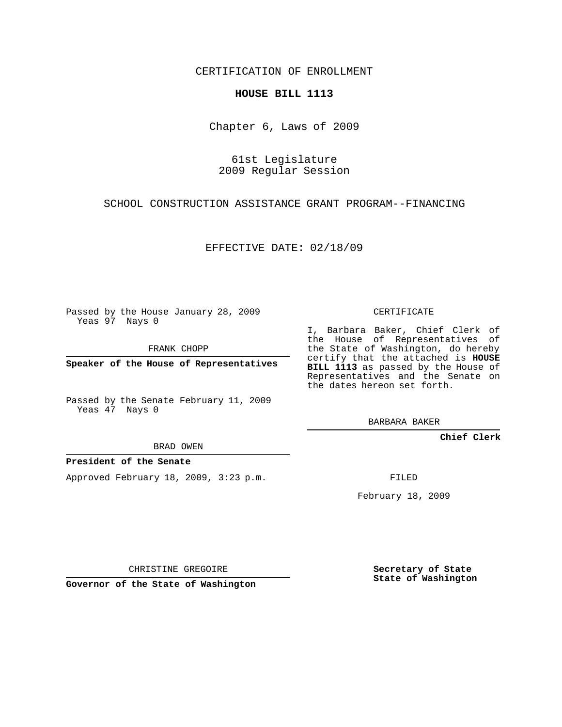### CERTIFICATION OF ENROLLMENT

#### **HOUSE BILL 1113**

Chapter 6, Laws of 2009

61st Legislature 2009 Regular Session

SCHOOL CONSTRUCTION ASSISTANCE GRANT PROGRAM--FINANCING

EFFECTIVE DATE: 02/18/09

Passed by the House January 28, 2009 Yeas 97 Nays 0

FRANK CHOPP

**Speaker of the House of Representatives**

Passed by the Senate February 11, 2009 Yeas 47 Nays 0

BRAD OWEN

#### **President of the Senate**

Approved February 18, 2009, 3:23 p.m.

CERTIFICATE

I, Barbara Baker, Chief Clerk of the House of Representatives of the State of Washington, do hereby certify that the attached is **HOUSE BILL 1113** as passed by the House of Representatives and the Senate on the dates hereon set forth.

BARBARA BAKER

**Chief Clerk**

FILED

February 18, 2009

CHRISTINE GREGOIRE

**Governor of the State of Washington**

**Secretary of State State of Washington**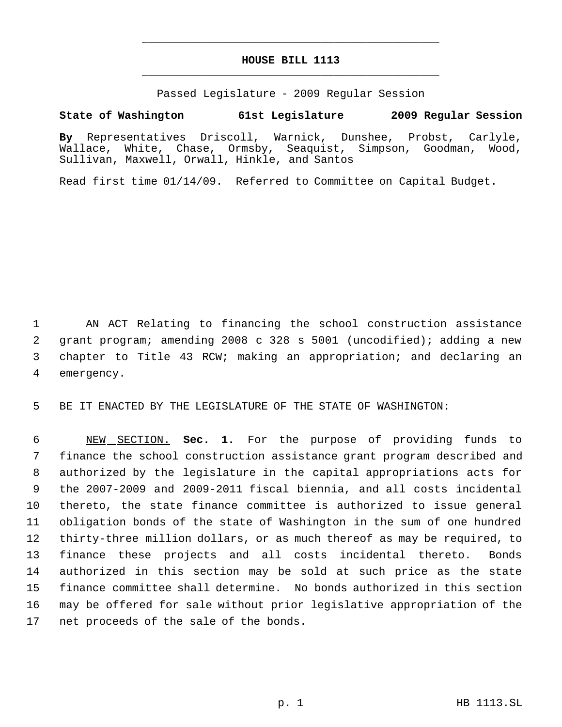# **HOUSE BILL 1113** \_\_\_\_\_\_\_\_\_\_\_\_\_\_\_\_\_\_\_\_\_\_\_\_\_\_\_\_\_\_\_\_\_\_\_\_\_\_\_\_\_\_\_\_\_

\_\_\_\_\_\_\_\_\_\_\_\_\_\_\_\_\_\_\_\_\_\_\_\_\_\_\_\_\_\_\_\_\_\_\_\_\_\_\_\_\_\_\_\_\_

Passed Legislature - 2009 Regular Session

## **State of Washington 61st Legislature 2009 Regular Session**

**By** Representatives Driscoll, Warnick, Dunshee, Probst, Carlyle, Wallace, White, Chase, Ormsby, Seaquist, Simpson, Goodman, Wood, Sullivan, Maxwell, Orwall, Hinkle, and Santos

Read first time 01/14/09. Referred to Committee on Capital Budget.

 AN ACT Relating to financing the school construction assistance grant program; amending 2008 c 328 s 5001 (uncodified); adding a new chapter to Title 43 RCW; making an appropriation; and declaring an emergency.

BE IT ENACTED BY THE LEGISLATURE OF THE STATE OF WASHINGTON:

 NEW SECTION. **Sec. 1.** For the purpose of providing funds to finance the school construction assistance grant program described and authorized by the legislature in the capital appropriations acts for the 2007-2009 and 2009-2011 fiscal biennia, and all costs incidental thereto, the state finance committee is authorized to issue general obligation bonds of the state of Washington in the sum of one hundred thirty-three million dollars, or as much thereof as may be required, to finance these projects and all costs incidental thereto. Bonds authorized in this section may be sold at such price as the state finance committee shall determine. No bonds authorized in this section may be offered for sale without prior legislative appropriation of the net proceeds of the sale of the bonds.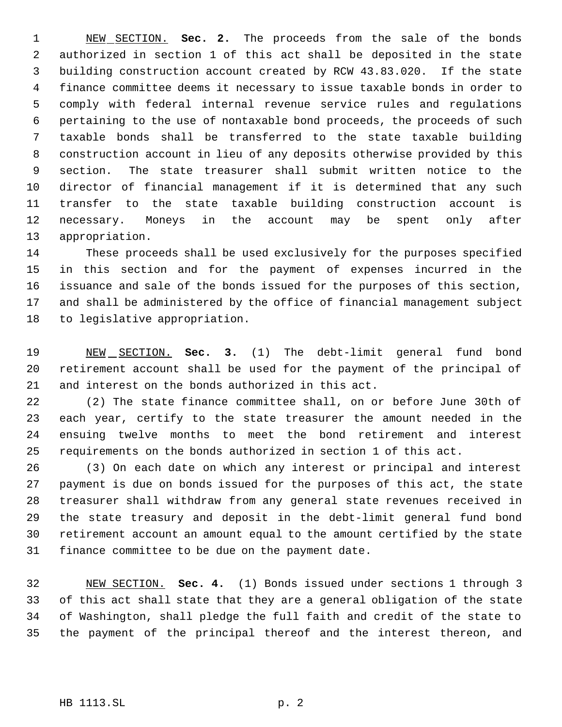NEW SECTION. **Sec. 2.** The proceeds from the sale of the bonds authorized in section 1 of this act shall be deposited in the state building construction account created by RCW 43.83.020. If the state finance committee deems it necessary to issue taxable bonds in order to comply with federal internal revenue service rules and regulations pertaining to the use of nontaxable bond proceeds, the proceeds of such taxable bonds shall be transferred to the state taxable building construction account in lieu of any deposits otherwise provided by this section. The state treasurer shall submit written notice to the director of financial management if it is determined that any such transfer to the state taxable building construction account is necessary. Moneys in the account may be spent only after appropriation.

 These proceeds shall be used exclusively for the purposes specified in this section and for the payment of expenses incurred in the issuance and sale of the bonds issued for the purposes of this section, and shall be administered by the office of financial management subject to legislative appropriation.

 NEW SECTION. **Sec. 3.** (1) The debt-limit general fund bond retirement account shall be used for the payment of the principal of and interest on the bonds authorized in this act.

 (2) The state finance committee shall, on or before June 30th of each year, certify to the state treasurer the amount needed in the ensuing twelve months to meet the bond retirement and interest requirements on the bonds authorized in section 1 of this act.

 (3) On each date on which any interest or principal and interest payment is due on bonds issued for the purposes of this act, the state treasurer shall withdraw from any general state revenues received in the state treasury and deposit in the debt-limit general fund bond retirement account an amount equal to the amount certified by the state finance committee to be due on the payment date.

 NEW SECTION. **Sec. 4.** (1) Bonds issued under sections 1 through 3 of this act shall state that they are a general obligation of the state of Washington, shall pledge the full faith and credit of the state to the payment of the principal thereof and the interest thereon, and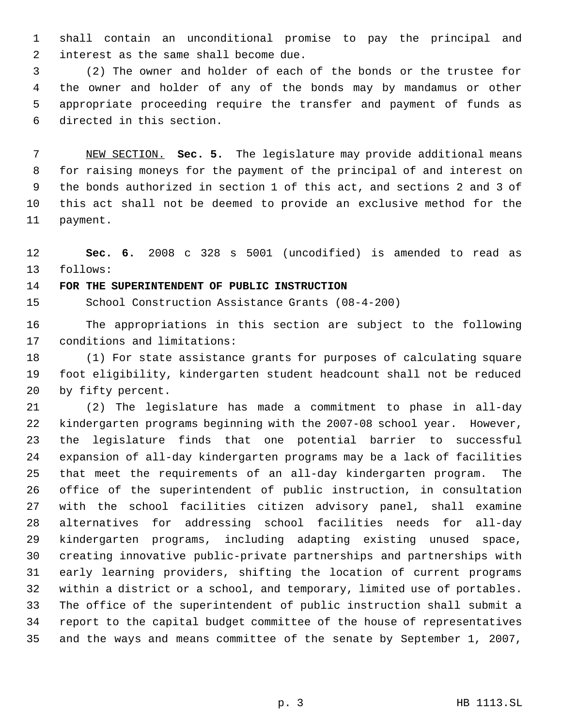shall contain an unconditional promise to pay the principal and interest as the same shall become due.

 (2) The owner and holder of each of the bonds or the trustee for the owner and holder of any of the bonds may by mandamus or other appropriate proceeding require the transfer and payment of funds as directed in this section.

 NEW SECTION. **Sec. 5.** The legislature may provide additional means for raising moneys for the payment of the principal of and interest on the bonds authorized in section 1 of this act, and sections 2 and 3 of this act shall not be deemed to provide an exclusive method for the payment.

 **Sec. 6.** 2008 c 328 s 5001 (uncodified) is amended to read as follows:

# **FOR THE SUPERINTENDENT OF PUBLIC INSTRUCTION**

School Construction Assistance Grants (08-4-200)

 The appropriations in this section are subject to the following conditions and limitations:

 (1) For state assistance grants for purposes of calculating square foot eligibility, kindergarten student headcount shall not be reduced by fifty percent.

 (2) The legislature has made a commitment to phase in all-day kindergarten programs beginning with the 2007-08 school year. However, the legislature finds that one potential barrier to successful expansion of all-day kindergarten programs may be a lack of facilities that meet the requirements of an all-day kindergarten program. The office of the superintendent of public instruction, in consultation with the school facilities citizen advisory panel, shall examine alternatives for addressing school facilities needs for all-day kindergarten programs, including adapting existing unused space, creating innovative public-private partnerships and partnerships with early learning providers, shifting the location of current programs within a district or a school, and temporary, limited use of portables. The office of the superintendent of public instruction shall submit a report to the capital budget committee of the house of representatives and the ways and means committee of the senate by September 1, 2007,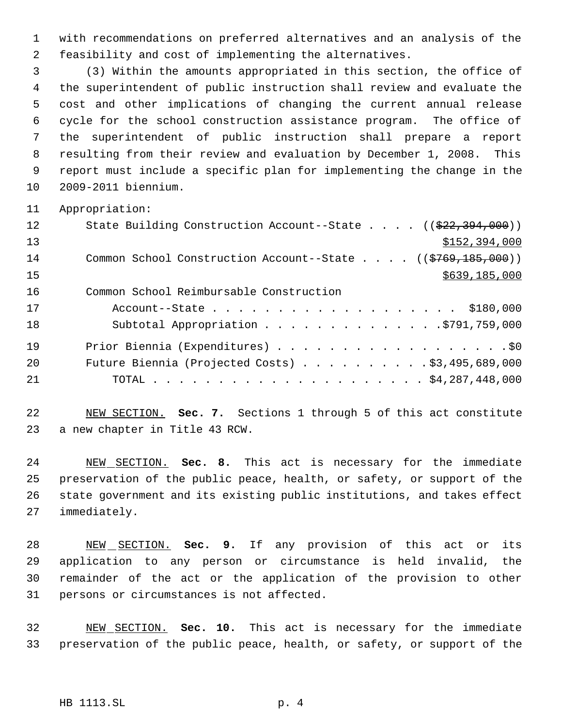with recommendations on preferred alternatives and an analysis of the feasibility and cost of implementing the alternatives.

 (3) Within the amounts appropriated in this section, the office of the superintendent of public instruction shall review and evaluate the cost and other implications of changing the current annual release cycle for the school construction assistance program. The office of the superintendent of public instruction shall prepare a report resulting from their review and evaluation by December 1, 2008. This report must include a specific plan for implementing the change in the 2009-2011 biennium.

Appropriation:

| 12 | State Building Construction Account--State $((\frac{22}{72}, \frac{394}{100})$ |
|----|--------------------------------------------------------------------------------|
| 13 | \$152,394,000                                                                  |
| 14 | Common School Construction Account--State $($ $($ \$769,185,000) $)$           |
| 15 | \$639,185,000                                                                  |
| 16 | Common School Reimbursable Construction                                        |
| 17 | Account--State \$180,000                                                       |
| 18 | Subtotal Appropriation 5791,759,000                                            |
| 19 | Prior Biennia (Expenditures) \$0                                               |
| 20 | Future Biennia (Projected Costs) $\ldots$ \$3,495,689,000                      |
| 21 |                                                                                |

 NEW SECTION. **Sec. 7.** Sections 1 through 5 of this act constitute a new chapter in Title 43 RCW.

 NEW SECTION. **Sec. 8.** This act is necessary for the immediate preservation of the public peace, health, or safety, or support of the state government and its existing public institutions, and takes effect immediately.

 NEW SECTION. **Sec. 9.** If any provision of this act or its application to any person or circumstance is held invalid, the remainder of the act or the application of the provision to other persons or circumstances is not affected.

 NEW SECTION. **Sec. 10.** This act is necessary for the immediate preservation of the public peace, health, or safety, or support of the

## HB 1113.SL p. 4